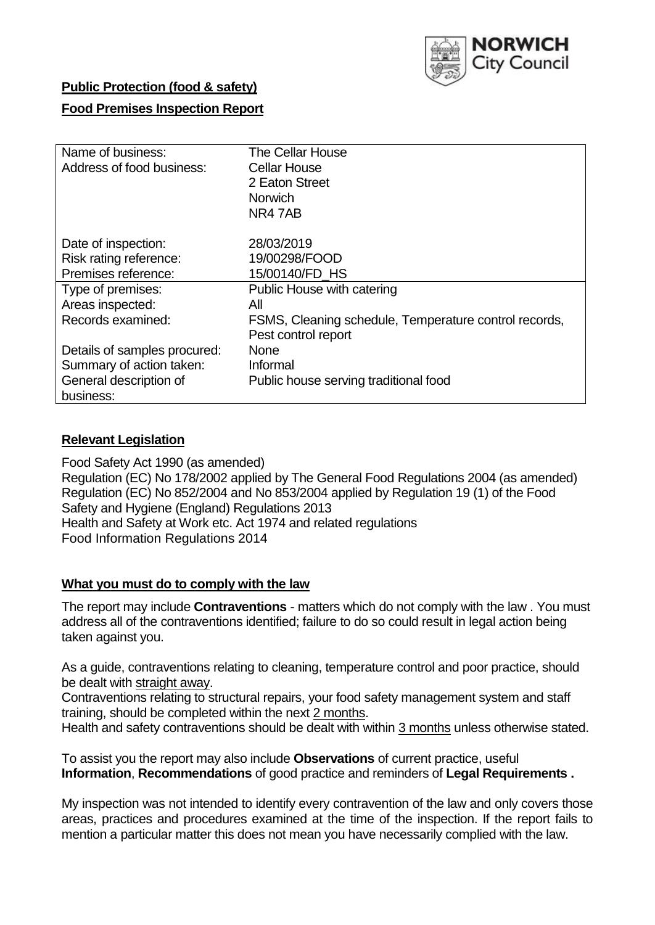

# **Public Protection (food & safety)**

# **Food Premises Inspection Report**

| Name of business:            | <b>The Cellar House</b>                               |
|------------------------------|-------------------------------------------------------|
| Address of food business:    | <b>Cellar House</b>                                   |
|                              | 2 Eaton Street                                        |
|                              | Norwich                                               |
|                              | NR47AB                                                |
| Date of inspection:          | 28/03/2019                                            |
|                              |                                                       |
| Risk rating reference:       | 19/00298/FOOD                                         |
| Premises reference:          | 15/00140/FD HS                                        |
| Type of premises:            | Public House with catering                            |
| Areas inspected:             | All                                                   |
| Records examined:            | FSMS, Cleaning schedule, Temperature control records, |
|                              | Pest control report                                   |
| Details of samples procured: | <b>None</b>                                           |
| Summary of action taken:     | Informal                                              |
| General description of       | Public house serving traditional food                 |
| business:                    |                                                       |

## **Relevant Legislation**

Food Safety Act 1990 (as amended) Regulation (EC) No 178/2002 applied by The General Food Regulations 2004 (as amended) Regulation (EC) No 852/2004 and No 853/2004 applied by Regulation 19 (1) of the Food Safety and Hygiene (England) Regulations 2013 Health and Safety at Work etc. Act 1974 and related regulations Food Information Regulations 2014

## **What you must do to comply with the law**

The report may include **Contraventions** - matters which do not comply with the law . You must address all of the contraventions identified; failure to do so could result in legal action being taken against you.

As a guide, contraventions relating to cleaning, temperature control and poor practice, should be dealt with straight away.

Contraventions relating to structural repairs, your food safety management system and staff training, should be completed within the next 2 months.

Health and safety contraventions should be dealt with within 3 months unless otherwise stated.

To assist you the report may also include **Observations** of current practice, useful **Information**, **Recommendations** of good practice and reminders of **Legal Requirements .**

My inspection was not intended to identify every contravention of the law and only covers those areas, practices and procedures examined at the time of the inspection. If the report fails to mention a particular matter this does not mean you have necessarily complied with the law.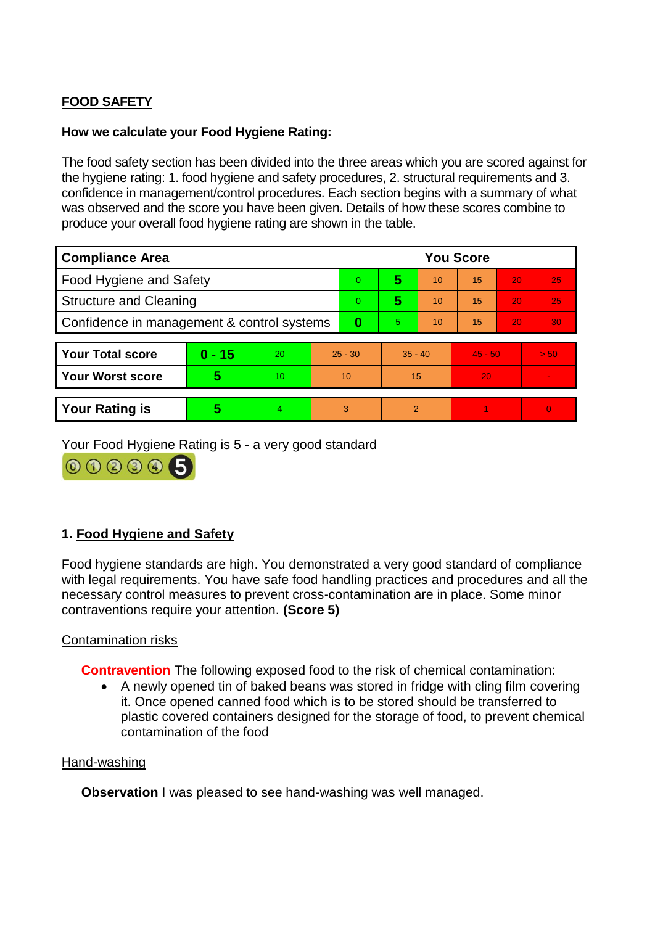# **FOOD SAFETY**

# **How we calculate your Food Hygiene Rating:**

The food safety section has been divided into the three areas which you are scored against for the hygiene rating: 1. food hygiene and safety procedures, 2. structural requirements and 3. confidence in management/control procedures. Each section begins with a summary of what was observed and the score you have been given. Details of how these scores combine to produce your overall food hygiene rating are shown in the table.

| <b>Compliance Area</b>                     |          |    |                | <b>You Score</b> |           |    |           |    |          |  |  |
|--------------------------------------------|----------|----|----------------|------------------|-----------|----|-----------|----|----------|--|--|
| Food Hygiene and Safety                    |          |    | $\overline{0}$ | 5                | 10        | 15 | 20        | 25 |          |  |  |
| <b>Structure and Cleaning</b>              |          |    | $\Omega$       | 5                | 10        | 15 | <b>20</b> | 25 |          |  |  |
| Confidence in management & control systems |          |    | 0              | 5.               | 10        | 15 | 20        | 30 |          |  |  |
|                                            |          |    |                |                  |           |    |           |    |          |  |  |
| <b>Your Total score</b>                    | $0 - 15$ | 20 | $25 - 30$      |                  | $35 - 40$ |    | $45 - 50$ |    | > 50     |  |  |
| <b>Your Worst score</b>                    | 5        | 10 | 10             |                  | 15        |    | 20        |    |          |  |  |
|                                            |          |    |                |                  |           |    |           |    |          |  |  |
| <b>Your Rating is</b>                      | 5        |    | 3              |                  | 2         |    |           |    | $\Omega$ |  |  |

Your Food Hygiene Rating is 5 - a very good standard

000006

# **1. Food Hygiene and Safety**

Food hygiene standards are high. You demonstrated a very good standard of compliance with legal requirements. You have safe food handling practices and procedures and all the necessary control measures to prevent cross-contamination are in place. Some minor contraventions require your attention. **(Score 5)**

## Contamination risks

**Contravention** The following exposed food to the risk of chemical contamination:

 A newly opened tin of baked beans was stored in fridge with cling film covering it. Once opened canned food which is to be stored should be transferred to plastic covered containers designed for the storage of food, to prevent chemical contamination of the food

## Hand-washing

**Observation** I was pleased to see hand-washing was well managed.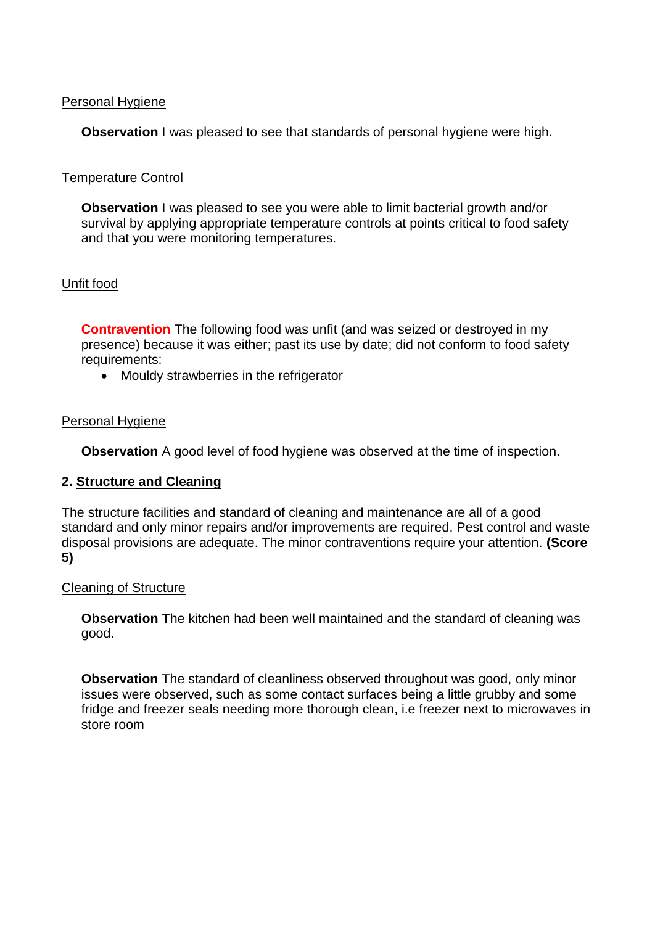## Personal Hygiene

**Observation** I was pleased to see that standards of personal hygiene were high.

# Temperature Control

**Observation** I was pleased to see you were able to limit bacterial growth and/or survival by applying appropriate temperature controls at points critical to food safety and that you were monitoring temperatures.

# Unfit food

**Contravention** The following food was unfit (and was seized or destroyed in my presence) because it was either; past its use by date; did not conform to food safety requirements:

• Mouldy strawberries in the refrigerator

# Personal Hygiene

**Observation** A good level of food hygiene was observed at the time of inspection.

## **2. Structure and Cleaning**

The structure facilities and standard of cleaning and maintenance are all of a good standard and only minor repairs and/or improvements are required. Pest control and waste disposal provisions are adequate. The minor contraventions require your attention. **(Score 5)**

## Cleaning of Structure

**Observation** The kitchen had been well maintained and the standard of cleaning was good.

**Observation** The standard of cleanliness observed throughout was good, only minor issues were observed, such as some contact surfaces being a little grubby and some fridge and freezer seals needing more thorough clean, i.e freezer next to microwaves in store room